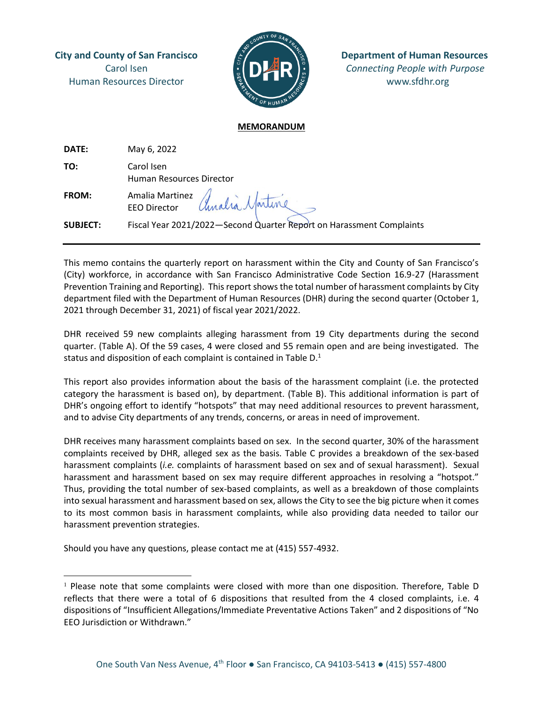Human Resources Director **with the second www.sfdhr.org** 



**City and County of San Francisco Department of Human Resources** Carol Isen *Connecting People with Purpose*

## **MEMORANDUM**

| DATE:           | May 6, 2022                                                          |
|-----------------|----------------------------------------------------------------------|
| TO:             | Carol Isen<br>Human Resources Director                               |
| <b>FROM:</b>    | Amalia Martinez Amalia Martine                                       |
| <b>SUBJECT:</b> | Fiscal Year 2021/2022-Second Quarter Report on Harassment Complaints |

This memo contains the quarterly report on harassment within the City and County of San Francisco's (City) workforce, in accordance with San Francisco Administrative Code Section 16.9-27 (Harassment Prevention Training and Reporting). This report shows the total number of harassment complaints by City department filed with the Department of Human Resources (DHR) during the second quarter (October 1, 2021 through December 31, 2021) of fiscal year 2021/2022.

DHR received 59 new complaints alleging harassment from 19 City departments during the second quarter. (Table A). Of the 59 cases, 4 were closed and 55 remain open and are being investigated. The status and disposition of each complaint is contained in Table D.<sup>1</sup>

This report also provides information about the basis of the harassment complaint (i.e. the protected category the harassment is based on), by department. (Table B). This additional information is part of DHR's ongoing effort to identify "hotspots" that may need additional resources to prevent harassment, and to advise City departments of any trends, concerns, or areas in need of improvement.

DHR receives many harassment complaints based on sex. In the second quarter, 30% of the harassment complaints received by DHR, alleged sex as the basis. Table C provides a breakdown of the sex-based harassment complaints (*i.e.* complaints of harassment based on sex and of sexual harassment). Sexual harassment and harassment based on sex may require different approaches in resolving a "hotspot." Thus, providing the total number of sex-based complaints, as well as a breakdown of those complaints into sexual harassment and harassment based on sex, allows the City to see the big picture when it comes to its most common basis in harassment complaints, while also providing data needed to tailor our harassment prevention strategies.

Should you have any questions, please contact me at (415) 557-4932.

 $1$  Please note that some complaints were closed with more than one disposition. Therefore, Table D reflects that there were a total of 6 dispositions that resulted from the 4 closed complaints, i.e. 4 dispositions of "Insufficient Allegations/Immediate Preventative Actions Taken" and 2 dispositions of "No EEO Jurisdiction or Withdrawn."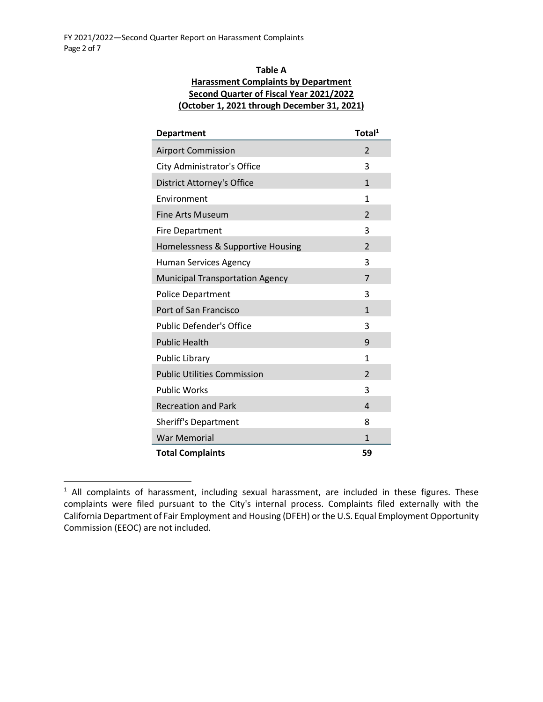## **Table A Harassment Complaints by Department Second Quarter of Fiscal Year 2021/2022 (October 1, 2021 through December 31, 2021)**

| <b>Department</b>                      | Total <sup>1</sup>       |
|----------------------------------------|--------------------------|
| <b>Airport Commission</b>              | 2                        |
| City Administrator's Office            | 3                        |
| <b>District Attorney's Office</b>      | $\mathbf{1}$             |
| Environment                            | 1                        |
| Fine Arts Museum                       | $\overline{\phantom{a}}$ |
| <b>Fire Department</b>                 | 3                        |
| Homelessness & Supportive Housing      | $\overline{\phantom{a}}$ |
| <b>Human Services Agency</b>           | 3                        |
| <b>Municipal Transportation Agency</b> | 7                        |
| <b>Police Department</b>               | 3                        |
| Port of San Francisco                  | 1                        |
| <b>Public Defender's Office</b>        | 3                        |
| <b>Public Health</b>                   | 9                        |
| <b>Public Library</b>                  | 1                        |
| <b>Public Utilities Commission</b>     | $\mathfrak{p}$           |
| <b>Public Works</b>                    | 3                        |
| <b>Recreation and Park</b>             | 4                        |
| <b>Sheriff's Department</b>            | 8                        |
| <b>War Memorial</b>                    | 1                        |
| <b>Total Complaints</b>                | 59                       |

<sup>&</sup>lt;sup>1</sup> All complaints of harassment, including sexual harassment, are included in these figures. These complaints were filed pursuant to the City's internal process. Complaints filed externally with the California Department of Fair Employment and Housing (DFEH) or the U.S. Equal Employment Opportunity Commission (EEOC) are not included.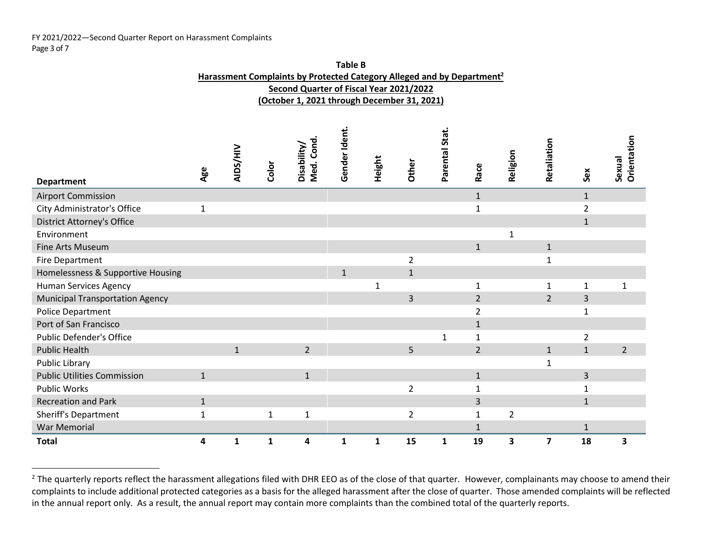## FY 2021/2022—Second Quarter Report on Harassment Complaints Page 3 of 7

| Table B                                                                            |
|------------------------------------------------------------------------------------|
| Harassment Complaints by Protected Category Alleged and by Department <sup>2</sup> |
| Second Quarter of Fiscal Year 2021/2022                                            |
| (October 1, 2021 through December 31, 2021)                                        |

|                                        |              | AIDS/HIV     |              | Med. Cond<br>Disability/ | Gender Ident. |        |                | Parental Stat |                | Religion       | Retaliation  |              | Orientation    |
|----------------------------------------|--------------|--------------|--------------|--------------------------|---------------|--------|----------------|---------------|----------------|----------------|--------------|--------------|----------------|
| <b>Department</b>                      | Age          |              | Color        |                          |               | Height | Other          |               | Race           |                |              | Sex          | Sexual         |
| <b>Airport Commission</b>              |              |              |              |                          |               |        |                |               | $\mathbf{1}$   |                |              | $\mathbf{1}$ |                |
| City Administrator's Office            | $\mathbf{1}$ |              |              |                          |               |        |                |               | $\mathbf{1}$   |                |              | 2            |                |
| <b>District Attorney's Office</b>      |              |              |              |                          |               |        |                |               |                |                |              | $\mathbf{1}$ |                |
| Environment                            |              |              |              |                          |               |        |                |               |                |                |              |              |                |
| Fine Arts Museum                       |              |              |              |                          |               |        |                |               | $\mathbf{1}$   |                | $\mathbf{1}$ |              |                |
| <b>Fire Department</b>                 |              |              |              |                          |               |        | 2              |               |                |                | 1            |              |                |
| Homelessness & Supportive Housing      |              |              |              |                          | $\mathbf{1}$  |        | $\mathbf{1}$   |               |                |                |              |              |                |
| <b>Human Services Agency</b>           |              |              |              |                          |               |        |                |               |                |                | 1            | 1            |                |
| <b>Municipal Transportation Agency</b> |              |              |              |                          |               |        | 3              |               | $\overline{2}$ |                | 2            | 3            |                |
| Police Department                      |              |              |              |                          |               |        |                |               | 2              |                |              | $\mathbf{1}$ |                |
| Port of San Francisco                  |              |              |              |                          |               |        |                |               | $\mathbf{1}$   |                |              |              |                |
| Public Defender's Office               |              |              |              |                          |               |        |                |               | 1              |                |              | 2            |                |
| <b>Public Health</b>                   |              | $\mathbf{1}$ |              | $\overline{2}$           |               |        | 5              |               | $\overline{2}$ |                | $\mathbf{1}$ | $\mathbf{1}$ | $\overline{2}$ |
| Public Library                         |              |              |              |                          |               |        |                |               |                |                | $\mathbf 1$  |              |                |
| <b>Public Utilities Commission</b>     | $\mathbf{1}$ |              |              | $\mathbf{1}$             |               |        |                |               | $\mathbf{1}$   |                |              | 3            |                |
| <b>Public Works</b>                    |              |              |              |                          |               |        | $\overline{2}$ |               | 1              |                |              | 1            |                |
| <b>Recreation and Park</b>             | $\mathbf{1}$ |              |              |                          |               |        |                |               | 3              |                |              | $\mathbf{1}$ |                |
| Sheriff's Department                   | $\mathbf{1}$ |              | $\mathbf{1}$ | $\mathbf{1}$             |               |        | $\overline{2}$ |               | $\mathbf{1}$   | $\overline{2}$ |              |              |                |
| <b>War Memorial</b>                    |              |              |              |                          |               |        |                |               | $\mathbf{1}$   |                |              | $\mathbf{1}$ |                |
| <b>Total</b>                           | 4            | $\mathbf{1}$ | $\mathbf{1}$ | 4                        | 1             | 1      | 15             | 1             | 19             | 3              | 7            | 18           | 3              |

<sup>&</sup>lt;sup>2</sup> The quarterly reports reflect the harassment allegations filed with DHR EEO as of the close of that quarter. However, complainants may choose to amend their complaints to include additional protected categories as a basis for the alleged harassment after the close of quarter. Those amended complaints will be reflected in the annual report only. As a result, the annual report may contain more complaints than the combined total of the quarterly reports.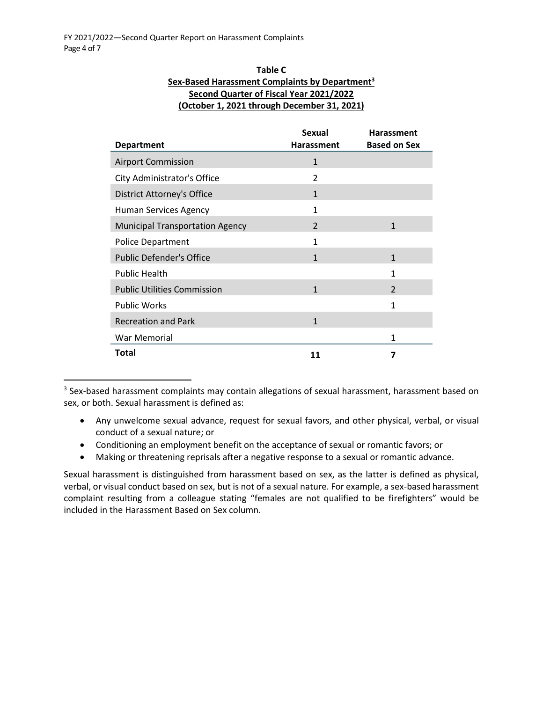| Table C                                                    |
|------------------------------------------------------------|
| Sex-Based Harassment Complaints by Department <sup>3</sup> |
| <b>Second Quarter of Fiscal Year 2021/2022</b>             |
| (October 1, 2021 through December 31, 2021)                |

| <b>Department</b>                      | <b>Sexual</b><br><b>Harassment</b> | <b>Harassment</b><br><b>Based on Sex</b> |
|----------------------------------------|------------------------------------|------------------------------------------|
|                                        |                                    |                                          |
| <b>Airport Commission</b>              | $\mathbf{1}$                       |                                          |
| City Administrator's Office            | $\overline{2}$                     |                                          |
| District Attorney's Office             | $\mathbf{1}$                       |                                          |
| Human Services Agency                  | $\mathbf{1}$                       |                                          |
| <b>Municipal Transportation Agency</b> | $\overline{\phantom{a}}$           | $\mathbf{1}$                             |
| Police Department                      | $\mathbf{1}$                       |                                          |
| <b>Public Defender's Office</b>        | $\mathbf{1}$                       | $\mathbf{1}$                             |
| <b>Public Health</b>                   |                                    | 1                                        |
| <b>Public Utilities Commission</b>     | $\mathbf{1}$                       | $\mathfrak{p}$                           |
| <b>Public Works</b>                    |                                    | $\mathbf{1}$                             |
| <b>Recreation and Park</b>             | $\mathbf{1}$                       |                                          |
| War Memorial                           |                                    | 1                                        |
| Total                                  | 11                                 | 7                                        |

 $3$  Sex-based harassment complaints may contain allegations of sexual harassment, harassment based on sex, or both. Sexual harassment is defined as:

- Any unwelcome sexual advance, request for sexual favors, and other physical, verbal, or visual conduct of a sexual nature; or
- Conditioning an employment benefit on the acceptance of sexual or romantic favors; or
- Making or threatening reprisals after a negative response to a sexual or romantic advance.

Sexual harassment is distinguished from harassment based on sex, as the latter is defined as physical, verbal, or visual conduct based on sex, but is not of a sexual nature. For example, a sex-based harassment complaint resulting from a colleague stating "females are not qualified to be firefighters" would be included in the Harassment Based on Sex column.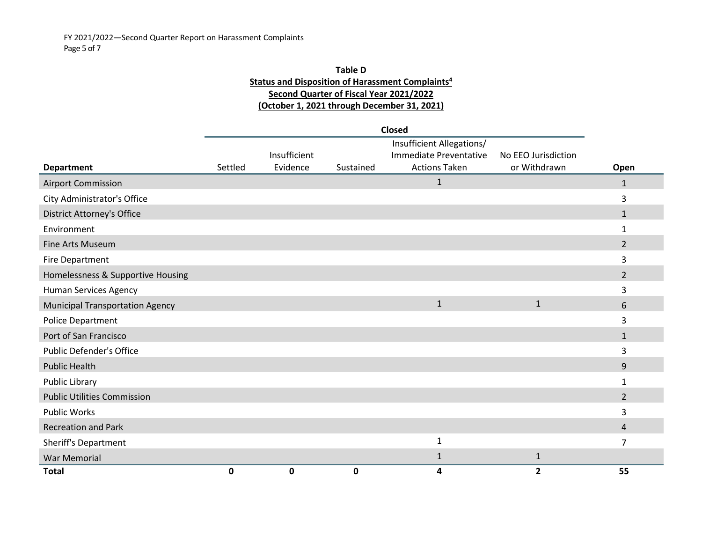## **Table D Status and Disposition of Harassment Complaints<sup>4</sup> Second Quarter of Fiscal Year 2021/2022 (October 1, 2021 through December 31, 2021)**

|                                        |         |              |           | <b>Closed</b>             |                     |                |
|----------------------------------------|---------|--------------|-----------|---------------------------|---------------------|----------------|
|                                        |         |              |           | Insufficient Allegations/ |                     |                |
|                                        |         | Insufficient |           | Immediate Preventative    | No EEO Jurisdiction |                |
| <b>Department</b>                      | Settled | Evidence     | Sustained | <b>Actions Taken</b>      | or Withdrawn        | Open           |
| <b>Airport Commission</b>              |         |              |           | $\mathbf{1}$              |                     | $\mathbf{1}$   |
| City Administrator's Office            |         |              |           |                           |                     | 3              |
| <b>District Attorney's Office</b>      |         |              |           |                           |                     | $\mathbf{1}$   |
| Environment                            |         |              |           |                           |                     | 1              |
| Fine Arts Museum                       |         |              |           |                           |                     | $\overline{2}$ |
| Fire Department                        |         |              |           |                           |                     | 3              |
| Homelessness & Supportive Housing      |         |              |           |                           |                     | $\overline{2}$ |
| Human Services Agency                  |         |              |           |                           |                     | 3              |
| <b>Municipal Transportation Agency</b> |         |              |           | $\mathbf{1}$              | $\mathbf{1}$        | 6              |
| <b>Police Department</b>               |         |              |           |                           |                     | 3              |
| Port of San Francisco                  |         |              |           |                           |                     | $\mathbf{1}$   |
| <b>Public Defender's Office</b>        |         |              |           |                           |                     | 3              |
| <b>Public Health</b>                   |         |              |           |                           |                     | 9              |
| Public Library                         |         |              |           |                           |                     | $\mathbf{1}$   |
| <b>Public Utilities Commission</b>     |         |              |           |                           |                     | $2^{\circ}$    |
| <b>Public Works</b>                    |         |              |           |                           |                     | 3              |
| <b>Recreation and Park</b>             |         |              |           |                           |                     | 4              |
| Sheriff's Department                   |         |              |           | 1                         |                     | 7              |
| <b>War Memorial</b>                    |         |              |           | $\mathbf{1}$              | $\mathbf{1}$        |                |
| <b>Total</b>                           | 0       | 0            | 0         | 4                         | $\overline{2}$      | 55             |